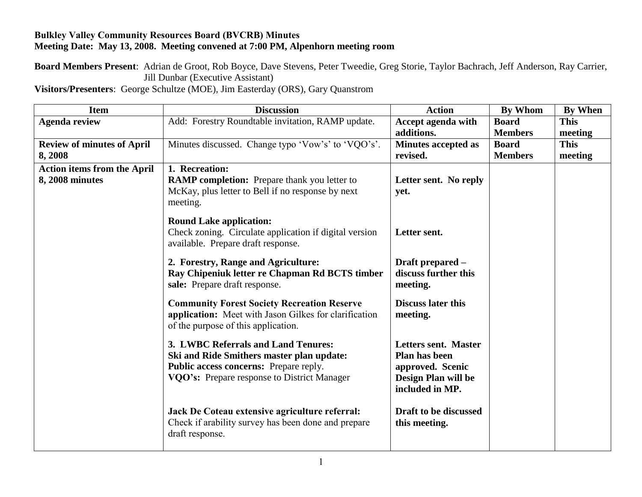## **Bulkley Valley Community Resources Board (BVCRB) Minutes Meeting Date: May 13, 2008. Meeting convened at 7:00 PM, Alpenhorn meeting room**

**Board Members Present**: Adrian de Groot, Rob Boyce, Dave Stevens, Peter Tweedie, Greg Storie, Taylor Bachrach, Jeff Anderson, Ray Carrier, Jill Dunbar (Executive Assistant)

**Visitors/Presenters**: George Schultze (MOE), Jim Easterday (ORS), Gary Quanstrom

| <b>Item</b>                        | <b>Discussion</b>                                                                                                                                                                | <b>Action</b>                                                                                                     | <b>By Whom</b> | <b>By When</b> |
|------------------------------------|----------------------------------------------------------------------------------------------------------------------------------------------------------------------------------|-------------------------------------------------------------------------------------------------------------------|----------------|----------------|
| <b>Agenda review</b>               | Add: Forestry Roundtable invitation, RAMP update.                                                                                                                                | Accept agenda with                                                                                                | <b>Board</b>   | <b>This</b>    |
|                                    |                                                                                                                                                                                  | additions.                                                                                                        | <b>Members</b> | meeting        |
| <b>Review of minutes of April</b>  | Minutes discussed. Change typo 'Vow's' to 'VQO's'.                                                                                                                               | <b>Minutes accepted as</b>                                                                                        | <b>Board</b>   | <b>This</b>    |
| 8,2008                             |                                                                                                                                                                                  | revised.                                                                                                          | <b>Members</b> | meeting        |
| <b>Action items from the April</b> | 1. Recreation:                                                                                                                                                                   |                                                                                                                   |                |                |
| 8, 2008 minutes                    | <b>RAMP</b> completion: Prepare thank you letter to                                                                                                                              | Letter sent. No reply                                                                                             |                |                |
|                                    | McKay, plus letter to Bell if no response by next<br>meeting.                                                                                                                    | yet.                                                                                                              |                |                |
|                                    | <b>Round Lake application:</b><br>Check zoning. Circulate application if digital version<br>available. Prepare draft response.                                                   | Letter sent.                                                                                                      |                |                |
|                                    | 2. Forestry, Range and Agriculture:<br>Ray Chipeniuk letter re Chapman Rd BCTS timber<br>sale: Prepare draft response.                                                           | Draft prepared -<br>discuss further this<br>meeting.                                                              |                |                |
|                                    | <b>Community Forest Society Recreation Reserve</b><br>application: Meet with Jason Gilkes for clarification<br>of the purpose of this application.                               | <b>Discuss later this</b><br>meeting.                                                                             |                |                |
|                                    | 3. LWBC Referrals and Land Tenures:<br>Ski and Ride Smithers master plan update:<br><b>Public access concerns:</b> Prepare reply.<br>VQO's: Prepare response to District Manager | <b>Letters sent. Master</b><br><b>Plan has been</b><br>approved. Scenic<br>Design Plan will be<br>included in MP. |                |                |
|                                    | Jack De Coteau extensive agriculture referral:<br>Check if arability survey has been done and prepare<br>draft response.                                                         | <b>Draft to be discussed</b><br>this meeting.                                                                     |                |                |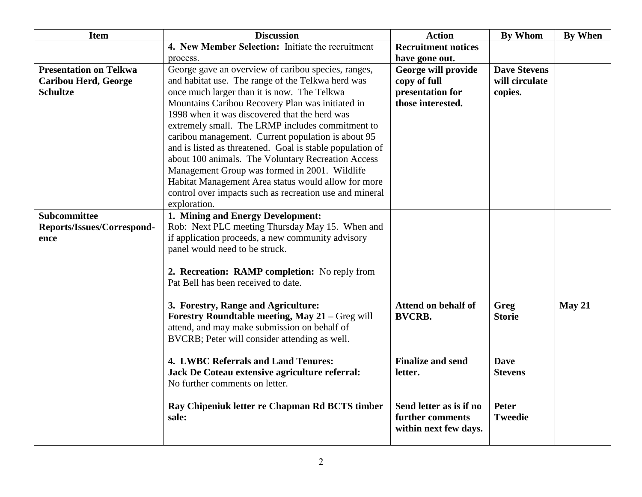| <b>Item</b>                                                                     | <b>Discussion</b>                                                                                                                                                                                                                                                                                                                                        | <b>Action</b>                                                                | <b>By Whom</b>                                   | <b>By When</b> |
|---------------------------------------------------------------------------------|----------------------------------------------------------------------------------------------------------------------------------------------------------------------------------------------------------------------------------------------------------------------------------------------------------------------------------------------------------|------------------------------------------------------------------------------|--------------------------------------------------|----------------|
|                                                                                 | 4. New Member Selection: Initiate the recruitment                                                                                                                                                                                                                                                                                                        | <b>Recruitment notices</b>                                                   |                                                  |                |
|                                                                                 | process.                                                                                                                                                                                                                                                                                                                                                 | have gone out.                                                               |                                                  |                |
| <b>Presentation on Telkwa</b><br><b>Caribou Herd, George</b><br><b>Schultze</b> | George gave an overview of caribou species, ranges,<br>and habitat use. The range of the Telkwa herd was<br>once much larger than it is now. The Telkwa<br>Mountains Caribou Recovery Plan was initiated in<br>1998 when it was discovered that the herd was<br>extremely small. The LRMP includes commitment to                                         | George will provide<br>copy of full<br>presentation for<br>those interested. | <b>Dave Stevens</b><br>will circulate<br>copies. |                |
|                                                                                 | caribou management. Current population is about 95<br>and is listed as threatened. Goal is stable population of<br>about 100 animals. The Voluntary Recreation Access<br>Management Group was formed in 2001. Wildlife<br>Habitat Management Area status would allow for more<br>control over impacts such as recreation use and mineral<br>exploration. |                                                                              |                                                  |                |
| <b>Subcommittee</b>                                                             | 1. Mining and Energy Development:                                                                                                                                                                                                                                                                                                                        |                                                                              |                                                  |                |
| Reports/Issues/Correspond-<br>ence                                              | Rob: Next PLC meeting Thursday May 15. When and<br>if application proceeds, a new community advisory<br>panel would need to be struck.                                                                                                                                                                                                                   |                                                                              |                                                  |                |
|                                                                                 | 2. Recreation: RAMP completion: No reply from<br>Pat Bell has been received to date.                                                                                                                                                                                                                                                                     |                                                                              |                                                  |                |
|                                                                                 | 3. Forestry, Range and Agriculture:<br>Forestry Roundtable meeting, May 21 - Greg will<br>attend, and may make submission on behalf of<br>BVCRB; Peter will consider attending as well.                                                                                                                                                                  | Attend on behalf of<br><b>BVCRB.</b>                                         | Greg<br><b>Storie</b>                            | May 21         |
|                                                                                 | 4. LWBC Referrals and Land Tenures:<br>Jack De Coteau extensive agriculture referral:<br>No further comments on letter.                                                                                                                                                                                                                                  | <b>Finalize and send</b><br>letter.                                          | <b>Dave</b><br><b>Stevens</b>                    |                |
|                                                                                 | Ray Chipeniuk letter re Chapman Rd BCTS timber<br>sale:                                                                                                                                                                                                                                                                                                  | Send letter as is if no<br>further comments<br>within next few days.         | <b>Peter</b><br><b>Tweedie</b>                   |                |